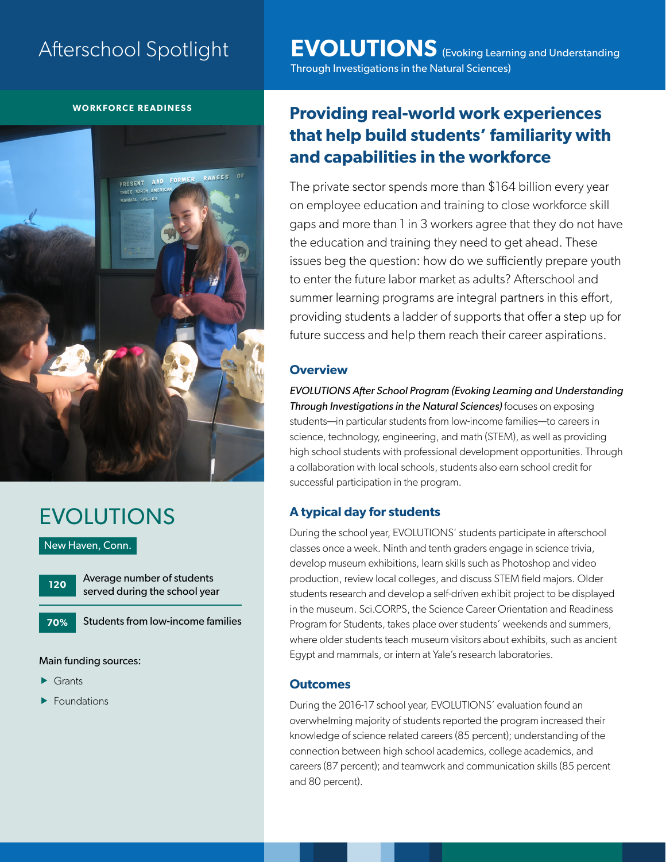# Afterschool Spotlight

**WORKFORCE READINESS**



# EVOLUTIONS

New Haven, Conn.

**120**

Average number of students served during the school year

Students from low-income families **70%**

Main funding sources:

- $\blacktriangleright$  Grants
- $\blacktriangleright$  Foundations

**EVOLUTIONS** (Evoking Learning and Understanding Through Investigations in the Natural Sciences)

# **Providing real-world work experiences that help build students' familiarity with and capabilities in the workforce**

The private sector spends more than \$164 billion every year on employee education and training to close workforce skill gaps and more than 1 in 3 workers agree that they do not have the education and training they need to get ahead. These issues beg the question: how do we sufficiently prepare youth to enter the future labor market as adults? Afterschool and summer learning programs are integral partners in this effort, providing students a ladder of supports that offer a step up for future success and help them reach their career aspirations.

### **Overview**

*EVOLUTIONS After School Program (Evoking Learning and Understanding Through Investigations in the Natural Sciences)* focuses on exposing students—in particular students from low-income families—to careers in science, technology, engineering, and math (STEM), as well as providing high school students with professional development opportunities. Through a collaboration with local schools, students also earn school credit for successful participation in the program.

## **A typical day for students**

During the school year, EVOLUTIONS' students participate in afterschool classes once a week. Ninth and tenth graders engage in science trivia, develop museum exhibitions, learn skills such as Photoshop and video production, review local colleges, and discuss STEM field majors. Older students research and develop a self-driven exhibit project to be displayed in the museum. Sci.CORPS, the Science Career Orientation and Readiness Program for Students, takes place over students' weekends and summers, where older students teach museum visitors about exhibits, such as ancient Egypt and mammals, or intern at Yale's research laboratories.

### **Outcomes**

During the 2016-17 school year, EVOLUTIONS' evaluation found an overwhelming majority of students reported the program increased their knowledge of science related careers (85 percent); understanding of the connection between high school academics, college academics, and careers (87 percent); and teamwork and communication skills (85 percent and 80 percent).